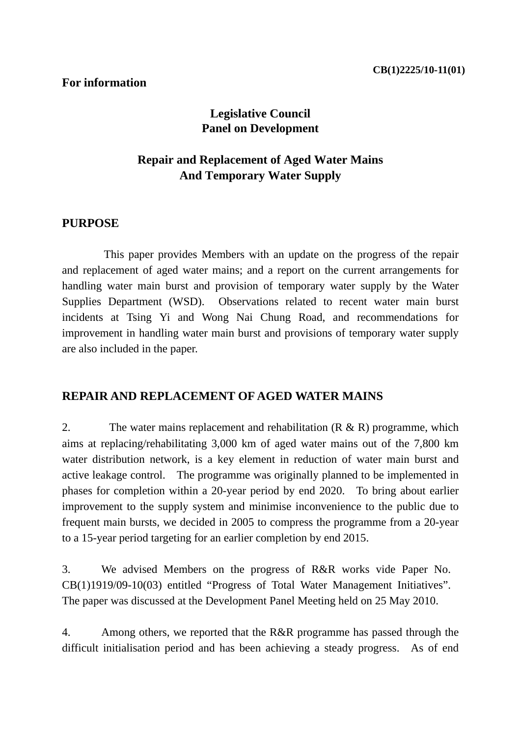# **Legislative Council Panel on Development**

# **Repair and Replacement of Aged Water Mains And Temporary Water Supply**

# **PURPOSE**

This paper provides Members with an update on the progress of the repair and replacement of aged water mains; and a report on the current arrangements for handling water main burst and provision of temporary water supply by the Water Supplies Department (WSD). Observations related to recent water main burst incidents at Tsing Yi and Wong Nai Chung Road, and recommendations for improvement in handling water main burst and provisions of temporary water supply are also included in the paper.

# **REPAIR AND REPLACEMENT OF AGED WATER MAINS**

2. The water mains replacement and rehabilitation  $(R & R)$  programme, which aims at replacing/rehabilitating 3,000 km of aged water mains out of the 7,800 km water distribution network, is a key element in reduction of water main burst and active leakage control. The programme was originally planned to be implemented in phases for completion within a 20-year period by end 2020. To bring about earlier improvement to the supply system and minimise inconvenience to the public due to frequent main bursts, we decided in 2005 to compress the programme from a 20-year to a 15-year period targeting for an earlier completion by end 2015.

3. We advised Members on the progress of R&R works vide Paper No. CB(1)1919/09-10(03) entitled "Progress of Total Water Management Initiatives". The paper was discussed at the Development Panel Meeting held on 25 May 2010.

4. Among others, we reported that the R&R programme has passed through the difficult initialisation period and has been achieving a steady progress. As of end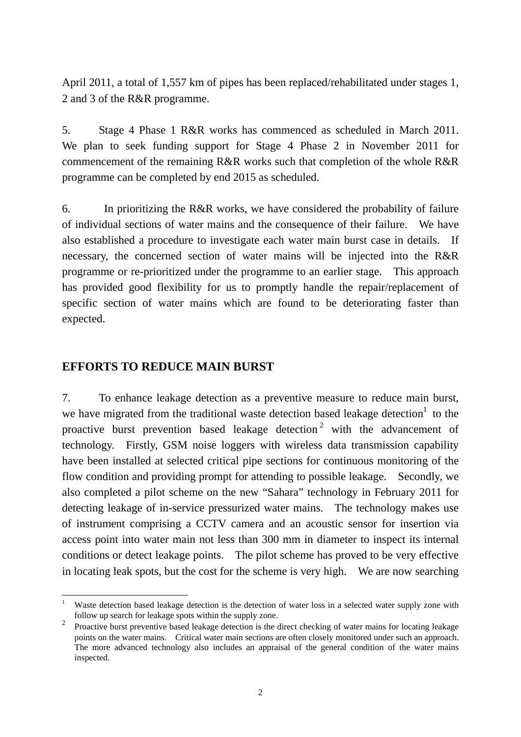April 2011, a total of 1,557 km of pipes has been replaced/rehabilitated under stages 1, 2 and 3 of the R&R programme.

5. Stage 4 Phase 1 R&R works has commenced as scheduled in March 2011. We plan to seek funding support for Stage 4 Phase 2 in November 2011 for commencement of the remaining R&R works such that completion of the whole R&R programme can be completed by end 2015 as scheduled.

6. In prioritizing the R&R works, we have considered the probability of failure of individual sections of water mains and the consequence of their failure. We have also established a procedure to investigate each water main burst case in details. If necessary, the concerned section of water mains will be injected into the R&R programme or re-prioritized under the programme to an earlier stage. This approach has provided good flexibility for us to promptly handle the repair/replacement of specific section of water mains which are found to be deteriorating faster than expected.

### **EFFORTS TO REDUCE MAIN BURST**

7. To enhance leakage detection as a preventive measure to reduce main burst, we have migrated from the traditional waste detection based leakage detection<sup>1</sup> to the proactive burst prevention based leakage detection<sup>2</sup> with the advancement of technology. Firstly, GSM noise loggers with wireless data transmission capability have been installed at selected critical pipe sections for continuous monitoring of the flow condition and providing prompt for attending to possible leakage. Secondly, we also completed a pilot scheme on the new "Sahara" technology in February 2011 for detecting leakage of in-service pressurized water mains. The technology makes use of instrument comprising a CCTV camera and an acoustic sensor for insertion via access point into water main not less than 300 mm in diameter to inspect its internal conditions or detect leakage points. The pilot scheme has proved to be very effective in locating leak spots, but the cost for the scheme is very high. We are now searching

<sup>1</sup> 1 Waste detection based leakage detection is the detection of water loss in a selected water supply zone with follow up search for leakage spots within the supply zone.

<sup>2</sup> Proactive burst preventive based leakage detection is the direct checking of water mains for locating leakage points on the water mains. Critical water main sections are often closely monitored under such an approach. The more advanced technology also includes an appraisal of the general condition of the water mains inspected.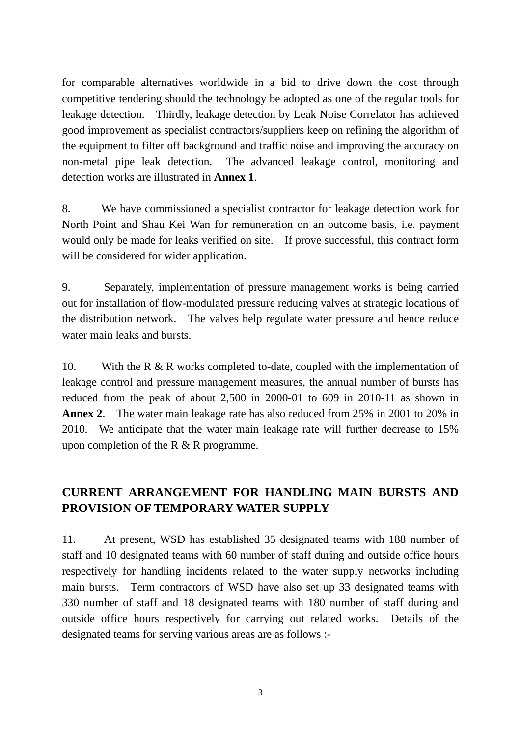for comparable alternatives worldwide in a bid to drive down the cost through competitive tendering should the technology be adopted as one of the regular tools for leakage detection. Thirdly, leakage detection by Leak Noise Correlator has achieved good improvement as specialist contractors/suppliers keep on refining the algorithm of the equipment to filter off background and traffic noise and improving the accuracy on non-metal pipe leak detection. The advanced leakage control, monitoring and detection works are illustrated in **Annex 1**.

8. We have commissioned a specialist contractor for leakage detection work for North Point and Shau Kei Wan for remuneration on an outcome basis, i.e. payment would only be made for leaks verified on site. If prove successful, this contract form will be considered for wider application.

9. Separately, implementation of pressure management works is being carried out for installation of flow-modulated pressure reducing valves at strategic locations of the distribution network. The valves help regulate water pressure and hence reduce water main leaks and bursts.

10. With the R & R works completed to-date, coupled with the implementation of leakage control and pressure management measures, the annual number of bursts has reduced from the peak of about 2,500 in 2000-01 to 609 in 2010-11 as shown in **Annex 2**. The water main leakage rate has also reduced from 25% in 2001 to 20% in 2010. We anticipate that the water main leakage rate will further decrease to 15% upon completion of the R & R programme.

# **CURRENT ARRANGEMENT FOR HANDLING MAIN BURSTS AND PROVISION OF TEMPORARY WATER SUPPLY**

11. At present, WSD has established 35 designated teams with 188 number of staff and 10 designated teams with 60 number of staff during and outside office hours respectively for handling incidents related to the water supply networks including main bursts. Term contractors of WSD have also set up 33 designated teams with 330 number of staff and 18 designated teams with 180 number of staff during and outside office hours respectively for carrying out related works. Details of the designated teams for serving various areas are as follows :-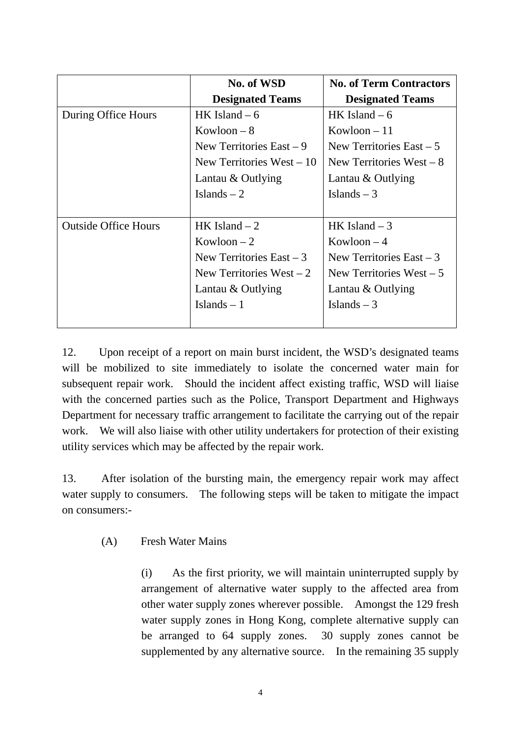|                             | No. of WSD                 | <b>No. of Term Contractors</b> |
|-----------------------------|----------------------------|--------------------------------|
|                             | <b>Designated Teams</b>    | <b>Designated Teams</b>        |
| During Office Hours         | HK Island $-6$             | HK Island $-6$                 |
|                             | $Kowloon - 8$              | $Kowloon - 11$                 |
|                             | New Territories East $-9$  | New Territories East $-5$      |
|                             | New Territories West $-10$ | New Territories West $-8$      |
|                             | Lantau $&$ Outlying        | Lantau & Outlying              |
|                             | Islands $-2$               | Islands $-3$                   |
|                             |                            |                                |
| <b>Outside Office Hours</b> | HK Island $-2$             | HK Island $-3$                 |
|                             | $Kowloon - 2$              | Kowloon $-4$                   |
|                             | New Territories East $-3$  | New Territories East $-3$      |
|                             | New Territories West $-2$  | New Territories West $-5$      |
|                             | Lantau & Outlying          | Lantau & Outlying              |
|                             | Islands $-1$               | Islands $-3$                   |
|                             |                            |                                |

12. Upon receipt of a report on main burst incident, the WSD's designated teams will be mobilized to site immediately to isolate the concerned water main for subsequent repair work. Should the incident affect existing traffic, WSD will liaise with the concerned parties such as the Police, Transport Department and Highways Department for necessary traffic arrangement to facilitate the carrying out of the repair work. We will also liaise with other utility undertakers for protection of their existing utility services which may be affected by the repair work.

13. After isolation of the bursting main, the emergency repair work may affect water supply to consumers. The following steps will be taken to mitigate the impact on consumers:-

(A) Fresh Water Mains

(i) As the first priority, we will maintain uninterrupted supply by arrangement of alternative water supply to the affected area from other water supply zones wherever possible. Amongst the 129 fresh water supply zones in Hong Kong, complete alternative supply can be arranged to 64 supply zones. 30 supply zones cannot be supplemented by any alternative source. In the remaining 35 supply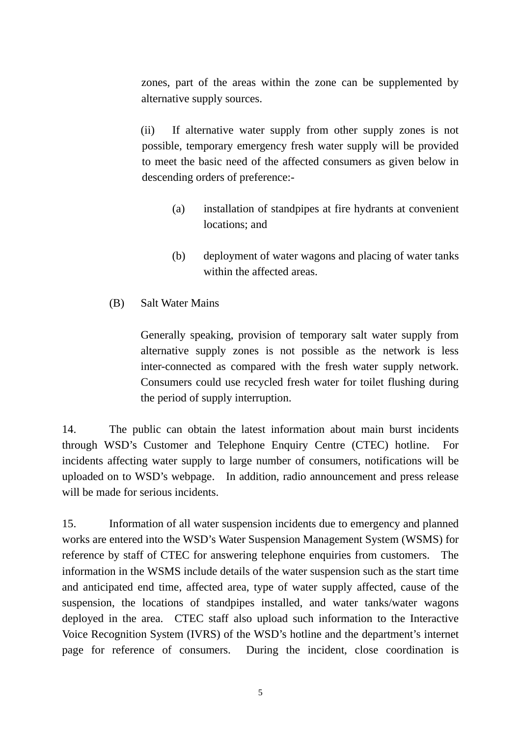zones, part of the areas within the zone can be supplemented by alternative supply sources.

(ii) If alternative water supply from other supply zones is not possible, temporary emergency fresh water supply will be provided to meet the basic need of the affected consumers as given below in descending orders of preference:-

- (a) installation of standpipes at fire hydrants at convenient locations; and
- (b) deployment of water wagons and placing of water tanks within the affected areas.
- (B) Salt Water Mains

Generally speaking, provision of temporary salt water supply from alternative supply zones is not possible as the network is less inter-connected as compared with the fresh water supply network. Consumers could use recycled fresh water for toilet flushing during the period of supply interruption.

14. The public can obtain the latest information about main burst incidents through WSD's Customer and Telephone Enquiry Centre (CTEC) hotline. For incidents affecting water supply to large number of consumers, notifications will be uploaded on to WSD's webpage. In addition, radio announcement and press release will be made for serious incidents.

15. Information of all water suspension incidents due to emergency and planned works are entered into the WSD's Water Suspension Management System (WSMS) for reference by staff of CTEC for answering telephone enquiries from customers. The information in the WSMS include details of the water suspension such as the start time and anticipated end time, affected area, type of water supply affected, cause of the suspension, the locations of standpipes installed, and water tanks/water wagons deployed in the area. CTEC staff also upload such information to the Interactive Voice Recognition System (IVRS) of the WSD's hotline and the department's internet page for reference of consumers. During the incident, close coordination is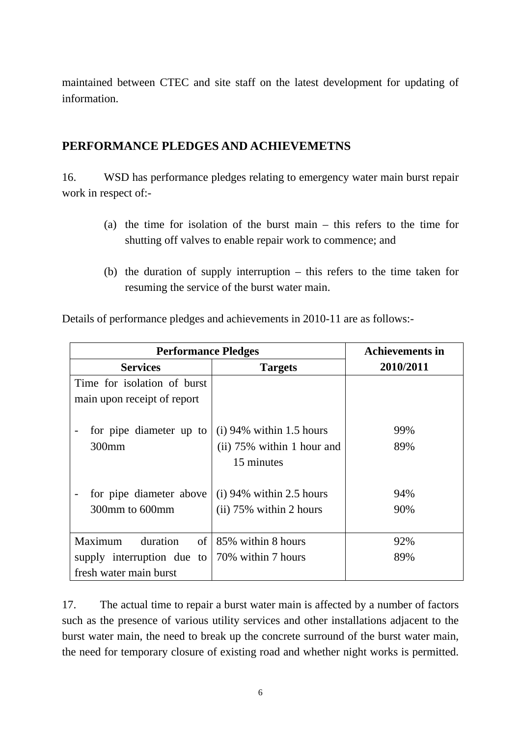maintained between CTEC and site staff on the latest development for updating of information.

# **PERFORMANCE PLEDGES AND ACHIEVEMETNS**

16. WSD has performance pledges relating to emergency water main burst repair work in respect of:-

- (a) the time for isolation of the burst main this refers to the time for shutting off valves to enable repair work to commence; and
- (b) the duration of supply interruption this refers to the time taken for resuming the service of the burst water main.

| <b>Performance Pledges</b>       |                                                                        | <b>Achievements in</b> |
|----------------------------------|------------------------------------------------------------------------|------------------------|
| <b>Services</b>                  | <b>Targets</b>                                                         | 2010/2011              |
| Time for isolation of burst      |                                                                        |                        |
| main upon receipt of report      |                                                                        |                        |
| for pipe diameter up to<br>300mm | $(i)$ 94% within 1.5 hours<br>(ii) 75% within 1 hour and<br>15 minutes | 99%<br>89%             |
| for pipe diameter above          | $(i)$ 94% within 2.5 hours                                             | 94%                    |
| 300mm to 600mm                   | $(ii)$ 75% within 2 hours                                              | 90%                    |
|                                  |                                                                        |                        |
| duration<br>Maximum              | of $\vert$ 85% within 8 hours                                          | 92%                    |
| supply interruption due to       | 70% within 7 hours                                                     | 89%                    |
| fresh water main burst           |                                                                        |                        |

Details of performance pledges and achievements in 2010-11 are as follows:-

17. The actual time to repair a burst water main is affected by a number of factors such as the presence of various utility services and other installations adjacent to the burst water main, the need to break up the concrete surround of the burst water main, the need for temporary closure of existing road and whether night works is permitted.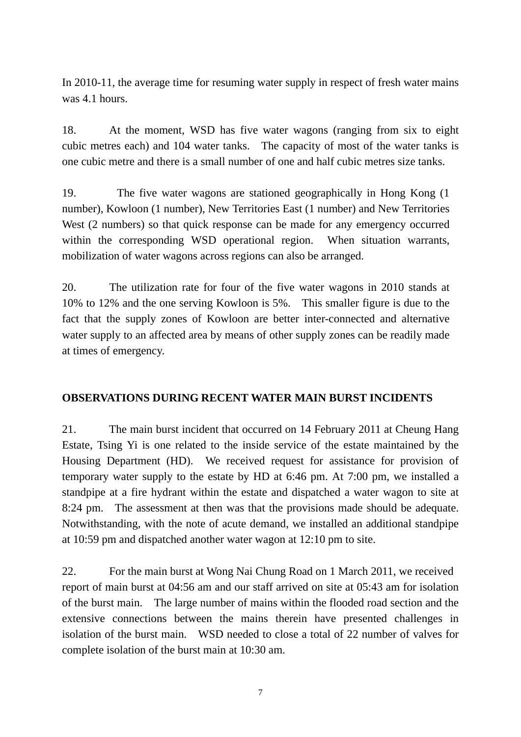In 2010-11, the average time for resuming water supply in respect of fresh water mains was 4.1 hours.

18. At the moment, WSD has five water wagons (ranging from six to eight cubic metres each) and 104 water tanks. The capacity of most of the water tanks is one cubic metre and there is a small number of one and half cubic metres size tanks.

19. The five water wagons are stationed geographically in Hong Kong (1 number), Kowloon (1 number), New Territories East (1 number) and New Territories West (2 numbers) so that quick response can be made for any emergency occurred within the corresponding WSD operational region. When situation warrants, mobilization of water wagons across regions can also be arranged.

20. The utilization rate for four of the five water wagons in 2010 stands at 10% to 12% and the one serving Kowloon is 5%. This smaller figure is due to the fact that the supply zones of Kowloon are better inter-connected and alternative water supply to an affected area by means of other supply zones can be readily made at times of emergency.

#### **OBSERVATIONS DURING RECENT WATER MAIN BURST INCIDENTS**

21. The main burst incident that occurred on 14 February 2011 at Cheung Hang Estate, Tsing Yi is one related to the inside service of the estate maintained by the Housing Department (HD). We received request for assistance for provision of temporary water supply to the estate by HD at 6:46 pm. At 7:00 pm, we installed a standpipe at a fire hydrant within the estate and dispatched a water wagon to site at 8:24 pm. The assessment at then was that the provisions made should be adequate. Notwithstanding, with the note of acute demand, we installed an additional standpipe at 10:59 pm and dispatched another water wagon at 12:10 pm to site.

22. For the main burst at Wong Nai Chung Road on 1 March 2011, we received report of main burst at 04:56 am and our staff arrived on site at 05:43 am for isolation of the burst main. The large number of mains within the flooded road section and the extensive connections between the mains therein have presented challenges in isolation of the burst main. WSD needed to close a total of 22 number of valves for complete isolation of the burst main at 10:30 am.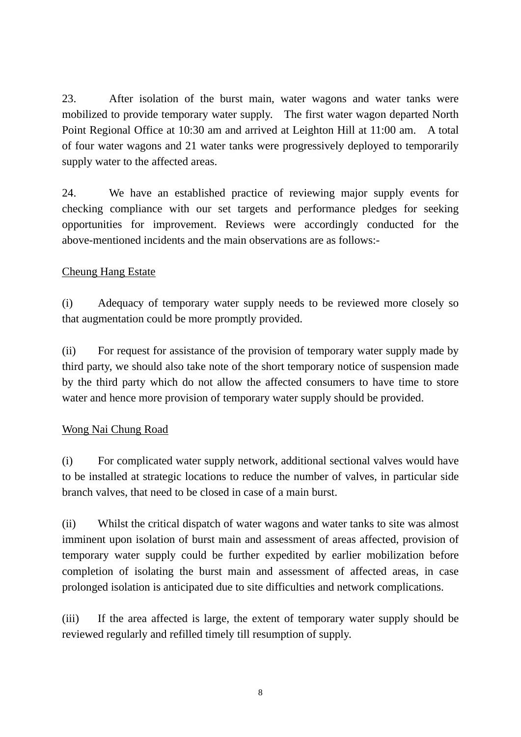23. After isolation of the burst main, water wagons and water tanks were mobilized to provide temporary water supply. The first water wagon departed North Point Regional Office at 10:30 am and arrived at Leighton Hill at 11:00 am. A total of four water wagons and 21 water tanks were progressively deployed to temporarily supply water to the affected areas.

24. We have an established practice of reviewing major supply events for checking compliance with our set targets and performance pledges for seeking opportunities for improvement. Reviews were accordingly conducted for the above-mentioned incidents and the main observations are as follows:-

### Cheung Hang Estate

(i) Adequacy of temporary water supply needs to be reviewed more closely so that augmentation could be more promptly provided.

(ii) For request for assistance of the provision of temporary water supply made by third party, we should also take note of the short temporary notice of suspension made by the third party which do not allow the affected consumers to have time to store water and hence more provision of temporary water supply should be provided.

#### Wong Nai Chung Road

(i) For complicated water supply network, additional sectional valves would have to be installed at strategic locations to reduce the number of valves, in particular side branch valves, that need to be closed in case of a main burst.

(ii) Whilst the critical dispatch of water wagons and water tanks to site was almost imminent upon isolation of burst main and assessment of areas affected, provision of temporary water supply could be further expedited by earlier mobilization before completion of isolating the burst main and assessment of affected areas, in case prolonged isolation is anticipated due to site difficulties and network complications.

(iii) If the area affected is large, the extent of temporary water supply should be reviewed regularly and refilled timely till resumption of supply.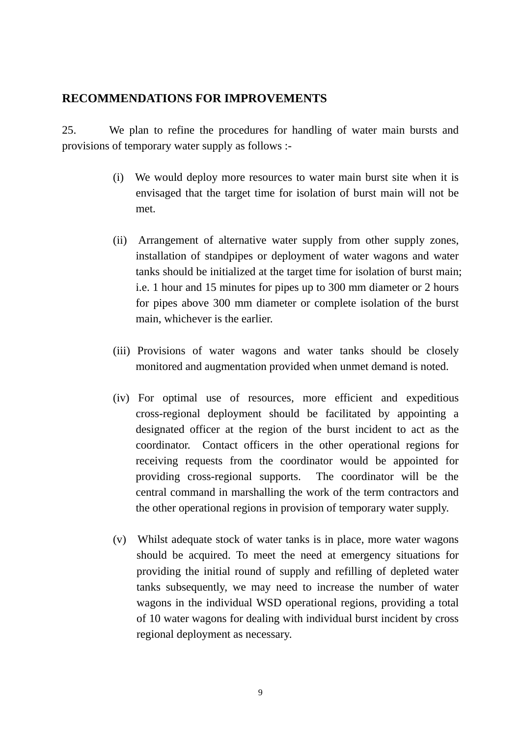### **RECOMMENDATIONS FOR IMPROVEMENTS**

25. We plan to refine the procedures for handling of water main bursts and provisions of temporary water supply as follows :-

- (i) We would deploy more resources to water main burst site when it is envisaged that the target time for isolation of burst main will not be met.
- (ii) Arrangement of alternative water supply from other supply zones, installation of standpipes or deployment of water wagons and water tanks should be initialized at the target time for isolation of burst main; i.e. 1 hour and 15 minutes for pipes up to 300 mm diameter or 2 hours for pipes above 300 mm diameter or complete isolation of the burst main, whichever is the earlier.
- (iii) Provisions of water wagons and water tanks should be closely monitored and augmentation provided when unmet demand is noted.
- (iv) For optimal use of resources, more efficient and expeditious cross-regional deployment should be facilitated by appointing a designated officer at the region of the burst incident to act as the coordinator. Contact officers in the other operational regions for receiving requests from the coordinator would be appointed for providing cross-regional supports. The coordinator will be the central command in marshalling the work of the term contractors and the other operational regions in provision of temporary water supply.
- (v) Whilst adequate stock of water tanks is in place, more water wagons should be acquired. To meet the need at emergency situations for providing the initial round of supply and refilling of depleted water tanks subsequently, we may need to increase the number of water wagons in the individual WSD operational regions, providing a total of 10 water wagons for dealing with individual burst incident by cross regional deployment as necessary.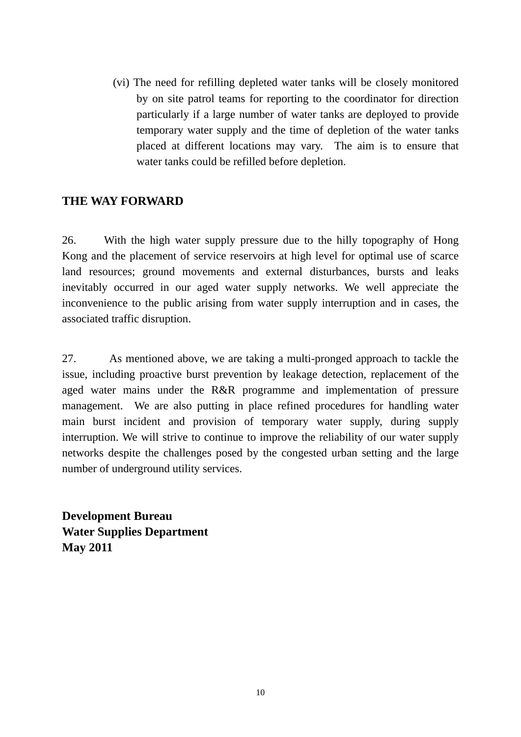(vi) The need for refilling depleted water tanks will be closely monitored by on site patrol teams for reporting to the coordinator for direction particularly if a large number of water tanks are deployed to provide temporary water supply and the time of depletion of the water tanks placed at different locations may vary. The aim is to ensure that water tanks could be refilled before depletion.

# **THE WAY FORWARD**

26. With the high water supply pressure due to the hilly topography of Hong Kong and the placement of service reservoirs at high level for optimal use of scarce land resources; ground movements and external disturbances, bursts and leaks inevitably occurred in our aged water supply networks. We well appreciate the inconvenience to the public arising from water supply interruption and in cases, the associated traffic disruption.

27. As mentioned above, we are taking a multi-pronged approach to tackle the issue, including proactive burst prevention by leakage detection, replacement of the aged water mains under the R&R programme and implementation of pressure management. We are also putting in place refined procedures for handling water main burst incident and provision of temporary water supply, during supply interruption. We will strive to continue to improve the reliability of our water supply networks despite the challenges posed by the congested urban setting and the large number of underground utility services.

**Development Bureau Water Supplies Department May 2011**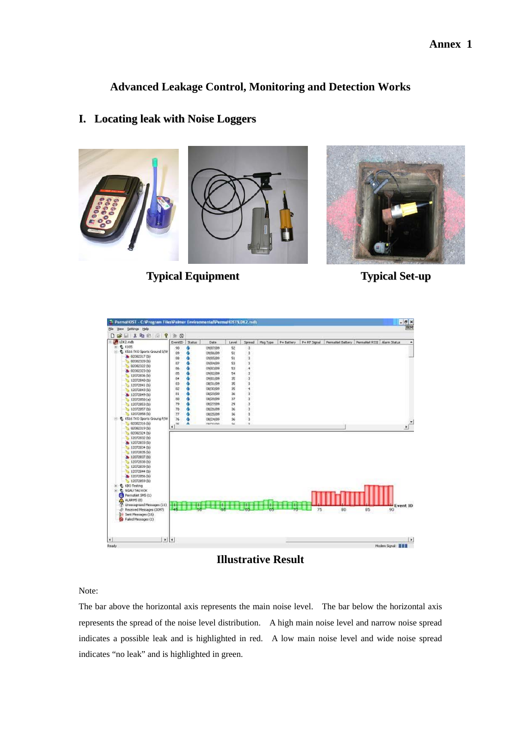**Advanced Leakage Control, Monitoring and Detection Works** 

#### **I. Locating leak with Noise Loggers**



**Typical Equipment Typical Set-up**





**Illustrative Result** 

Note:

The bar above the horizontal axis represents the main noise level. The bar below the horizontal axis represents the spread of the noise level distribution. A high main noise level and narrow noise spread indicates a possible leak and is highlighted in red. A low main noise level and wide noise spread indicates "no leak" and is highlighted in green.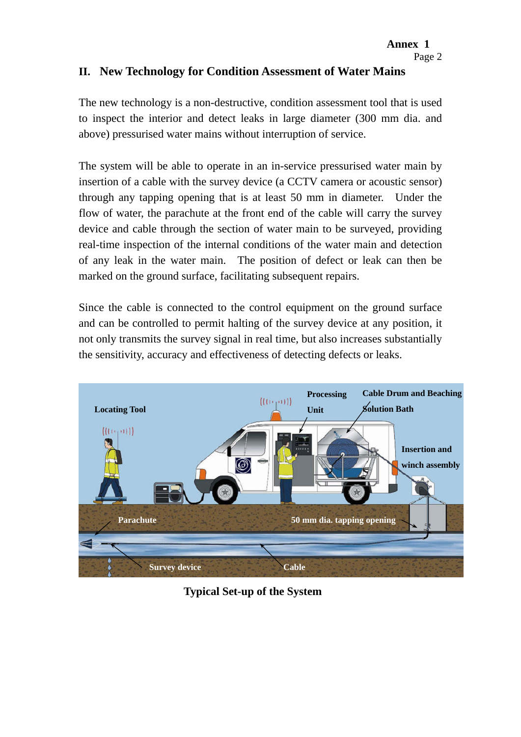### **II. New Technology for Condition Assessment of Water Mains**

The new technology is a non-destructive, condition assessment tool that is used to inspect the interior and detect leaks in large diameter (300 mm dia. and above) pressurised water mains without interruption of service.

The system will be able to operate in an in-service pressurised water main by insertion of a cable with the survey device (a CCTV camera or acoustic sensor) through any tapping opening that is at least 50 mm in diameter. Under the flow of water, the parachute at the front end of the cable will carry the survey device and cable through the section of water main to be surveyed, providing real-time inspection of the internal conditions of the water main and detection of any leak in the water main. The position of defect or leak can then be marked on the ground surface, facilitating subsequent repairs.

Since the cable is connected to the control equipment on the ground surface and can be controlled to permit halting of the survey device at any position, it not only transmits the survey signal in real time, but also increases substantially the sensitivity, accuracy and effectiveness of detecting defects or leaks.



 **Typical Set-up of the System**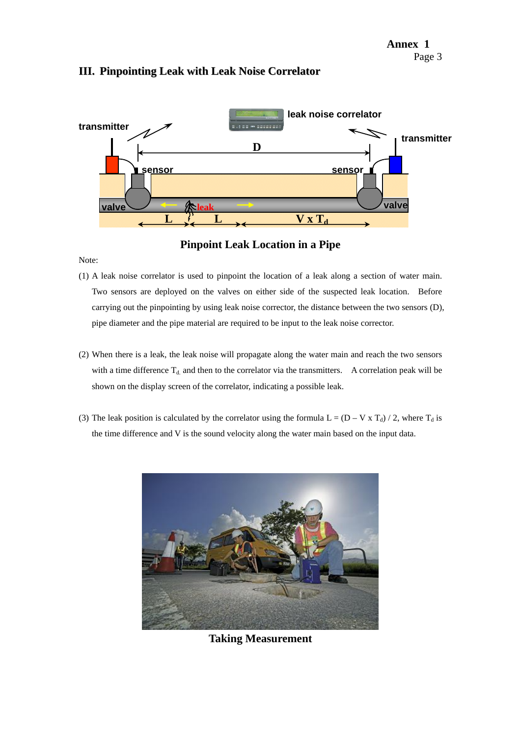#### **III. Pinpointing Leak with Leak Noise Correlator**



**Pinpoint Leak Location in a Pipe**

Note:

- (1) A leak noise correlator is used to pinpoint the location of a leak along a section of water main. Two sensors are deployed on the valves on either side of the suspected leak location. Before carrying out the pinpointing by using leak noise corrector, the distance between the two sensors (D), pipe diameter and the pipe material are required to be input to the leak noise corrector.
- (2) When there is a leak, the leak noise will propagate along the water main and reach the two sensors with a time difference  $T_{d}$  and then to the correlator via the transmitters. A correlation peak will be shown on the display screen of the correlator, indicating a possible leak.
- (3) The leak position is calculated by the correlator using the formula  $L = (D V \times T_d) / 2$ , where  $T_d$  is the time difference and V is the sound velocity along the water main based on the input data.



**Taking Measurement**